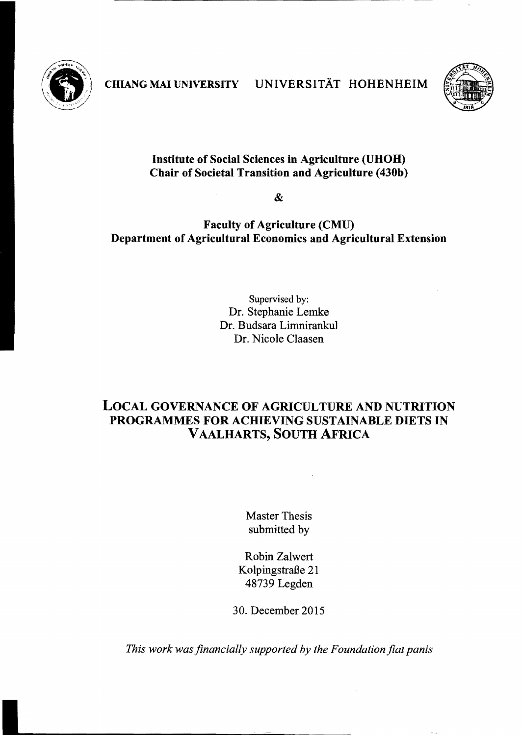

CHIANG MAI UNIVERSITY UNIVERSITÄT HOHENHEIM



## Institute of Social Sciences in Agriculture (UHOH) Cbair of Societal Transition and Agriculture (430b)

&

## Faculty of Agriculture (CMU) Department of Agricultural Economics and Agricultural Extension

Supervised by: Dr. Stephanie Lemke Dr. Budsara Limnirankul Dr. Nicole Claasen

## LOCAL GOVERNANCE OF AGRICULTURE AND NUTRITION PROGRAMMES FOR ACHIEVING SUSTAINABLE DIETS IN VAALHARTS, SOUTH AFRICA

Master Thesis submitted by

Robin Zalwert Kolpingstraße 21 48739 Legden

30. December 2015

*This work was financially supported by the Foundation fiat panis*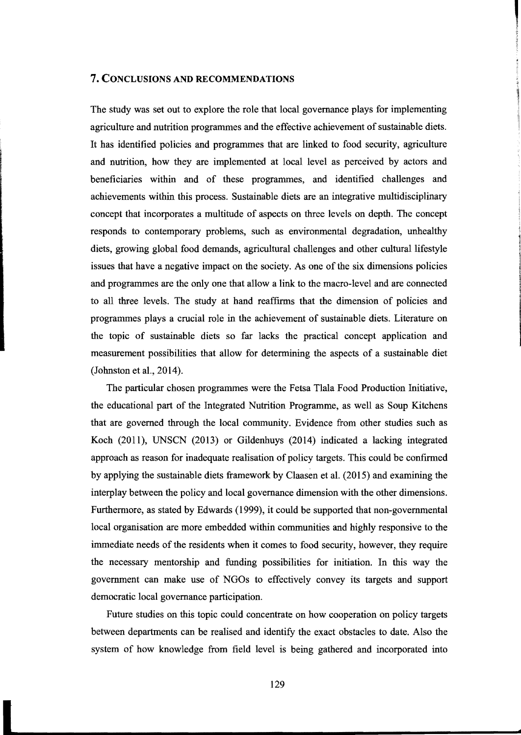## **7. CONCLUSIONS AND RECOMMENDATIONS**

The study was set out to explore the role that local governance plays for implementing agriculture and nutrition programmes and the effective achievement of sustainable diets. It has identified policies and programmes that are Iinked to food security, agriculture and nutrition, how they are implemented at local level as perceived by actors and beneficiaries within and of these programmes, and identified challenges and achievements within this process. Sustainable diets are an integrative multidisciplinary concept that incorporates a multitude of aspects on three levels on depth. The concept responds to contemporary problems, such as environmental degradation, unhealthy diets, growing global food demands, agricultural challenges and other cultural lifestyle issues that have a negative impact on the society. As one of the six dimensions policies and programmes are the only one that allow a link to the macro-Ievel and are connected to all three levels. The study at hand reaffirms that the dimension of policies and programmes plays a crucial role in the achievement of sustainable diets. Literature on the topic of sustainable diets so far lacks the practical concept application and measurement possibilities that allow for determining the aspects of a sustainable diet (Johnston et al., 2014).

The particular chosen programmes were the Fetsa Tlala Food Production Initiative, the educational part of the Integrated Nutrition Programme, as weIl as Soup Kitchens that are governed through the local community. Evidence from other studies such as Koch (2011), UNSCN (2013) or Gildenhuys (2014) indicated a lacking integrated approach as reason for inadequate realisation of policy targets. This could be confirmed by applying the sustainable diets framework by Claasen et al. (2015) and examining the interplay between the policy and local governance dimension with the other dimensions. Furthermore, as stated by Edwards (1999), it could be supported that non-governmental local organisation are more embedded within communities and highly responsive to the immediate needs of the residents when it comes to food security, however, they require the necessary mentorship and funding possibilities for initiation. In this way the government can make use of NGOs to effectively convey its targets and support democratic local governance participation.

Future studies on this topic could concentrate on how cooperation on policy targets between departments can be realised and identify the exact obstacles to date. Also the system of how knowledge from field level is being gathered and incorporated into